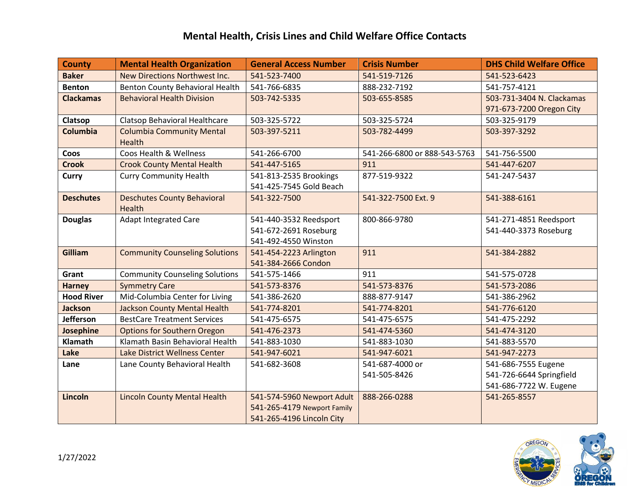## **Mental Health, Crisis Lines and Child Welfare Office Contacts**

| <b>County</b>     | <b>Mental Health Organization</b>     | <b>General Access Number</b> | <b>Crisis Number</b>         | <b>DHS Child Welfare Office</b> |
|-------------------|---------------------------------------|------------------------------|------------------------------|---------------------------------|
| <b>Baker</b>      | New Directions Northwest Inc.         | 541-523-7400                 | 541-519-7126                 | 541-523-6423                    |
| <b>Benton</b>     | Benton County Behavioral Health       | 541-766-6835                 | 888-232-7192                 | 541-757-4121                    |
| <b>Clackamas</b>  | <b>Behavioral Health Division</b>     | 503-742-5335                 | 503-655-8585                 | 503-731-3404 N. Clackamas       |
|                   |                                       |                              |                              | 971-673-7200 Oregon City        |
| Clatsop           | Clatsop Behavioral Healthcare         | 503-325-5722                 | 503-325-5724                 | 503-325-9179                    |
| <b>Columbia</b>   | <b>Columbia Community Mental</b>      | 503-397-5211                 | 503-782-4499                 | 503-397-3292                    |
|                   | Health                                |                              |                              |                                 |
| Coos              | Coos Health & Wellness                | 541-266-6700                 | 541-266-6800 or 888-543-5763 | 541-756-5500                    |
| <b>Crook</b>      | <b>Crook County Mental Health</b>     | 541-447-5165                 | 911                          | 541-447-6207                    |
| <b>Curry</b>      | <b>Curry Community Health</b>         | 541-813-2535 Brookings       | 877-519-9322                 | 541-247-5437                    |
|                   |                                       | 541-425-7545 Gold Beach      |                              |                                 |
| <b>Deschutes</b>  | <b>Deschutes County Behavioral</b>    | 541-322-7500                 | 541-322-7500 Ext. 9          | 541-388-6161                    |
|                   | <b>Health</b>                         |                              |                              |                                 |
| <b>Douglas</b>    | <b>Adapt Integrated Care</b>          | 541-440-3532 Reedsport       | 800-866-9780                 | 541-271-4851 Reedsport          |
|                   |                                       | 541-672-2691 Roseburg        |                              | 541-440-3373 Roseburg           |
|                   |                                       | 541-492-4550 Winston         |                              |                                 |
| Gilliam           | <b>Community Counseling Solutions</b> | 541-454-2223 Arlington       | 911                          | 541-384-2882                    |
|                   |                                       | 541-384-2666 Condon          |                              |                                 |
| Grant             | <b>Community Counseling Solutions</b> | 541-575-1466                 | 911                          | 541-575-0728                    |
| <b>Harney</b>     | <b>Symmetry Care</b>                  | 541-573-8376                 | 541-573-8376                 | 541-573-2086                    |
| <b>Hood River</b> | Mid-Columbia Center for Living        | 541-386-2620                 | 888-877-9147                 | 541-386-2962                    |
| <b>Jackson</b>    | <b>Jackson County Mental Health</b>   | 541-774-8201                 | 541-774-8201                 | 541-776-6120                    |
| <b>Jefferson</b>  | <b>BestCare Treatment Services</b>    | 541-475-6575                 | 541-475-6575                 | 541-475-2292                    |
| Josephine         | <b>Options for Southern Oregon</b>    | 541-476-2373                 | 541-474-5360                 | 541-474-3120                    |
| <b>Klamath</b>    | Klamath Basin Behavioral Health       | 541-883-1030                 | 541-883-1030                 | 541-883-5570                    |
| Lake              | Lake District Wellness Center         | 541-947-6021                 | 541-947-6021                 | 541-947-2273                    |
| Lane              | Lane County Behavioral Health         | 541-682-3608                 | 541-687-4000 or              | 541-686-7555 Eugene             |
|                   |                                       |                              | 541-505-8426                 | 541-726-6644 Springfield        |
|                   |                                       |                              |                              | 541-686-7722 W. Eugene          |
| Lincoln           | <b>Lincoln County Mental Health</b>   | 541-574-5960 Newport Adult   | 888-266-0288                 | 541-265-8557                    |
|                   |                                       | 541-265-4179 Newport Family  |                              |                                 |
|                   |                                       | 541-265-4196 Lincoln City    |                              |                                 |

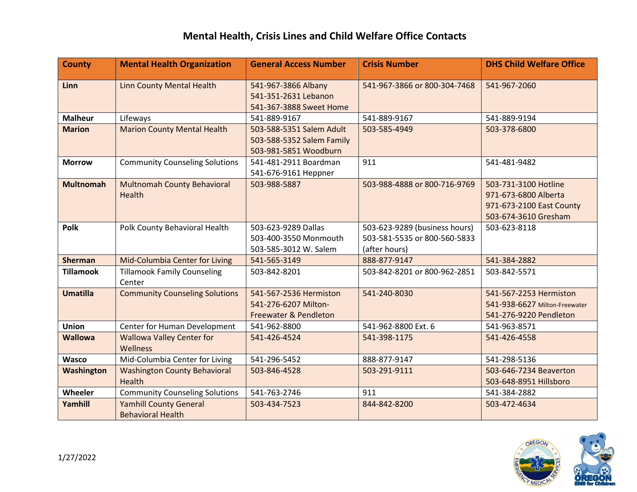## **Mental Health, Crisis Lines and Child Welfare Office Contacts**

| <b>County</b>    | <b>Mental Health Organization</b>                         | <b>General Access Number</b>                                                       | <b>Crisis Number</b>                                                           | <b>DHS Child Welfare Office</b>                                                                  |
|------------------|-----------------------------------------------------------|------------------------------------------------------------------------------------|--------------------------------------------------------------------------------|--------------------------------------------------------------------------------------------------|
| Linn             | <b>Linn County Mental Health</b>                          | 541-967-3866 Albany<br>541-351-2631 Lebanon<br>541-367-3888 Sweet Home             | 541-967-3866 or 800-304-7468                                                   | 541-967-2060                                                                                     |
| <b>Malheur</b>   | Lifeways                                                  | 541-889-9167                                                                       | 541-889-9167                                                                   | 541-889-9194                                                                                     |
| <b>Marion</b>    | <b>Marion County Mental Health</b>                        | 503-588-5351 Salem Adult<br>503-588-5352 Salem Family<br>503-981-5851 Woodburn     | 503-585-4949                                                                   | 503-378-6800                                                                                     |
| <b>Morrow</b>    | <b>Community Counseling Solutions</b>                     | 541-481-2911 Boardman<br>541-676-9161 Heppner                                      | 911                                                                            | 541-481-9482                                                                                     |
| <b>Multnomah</b> | <b>Multnomah County Behavioral</b><br><b>Health</b>       | 503-988-5887                                                                       | 503-988-4888 or 800-716-9769                                                   | 503-731-3100 Hotline<br>971-673-6800 Alberta<br>971-673-2100 East County<br>503-674-3610 Gresham |
| <b>Polk</b>      | Polk County Behavioral Health                             | 503-623-9289 Dallas<br>503-400-3550 Monmouth<br>503-585-3012 W. Salem              | 503-623-9289 (business hours)<br>503-581-5535 or 800-560-5833<br>(after hours) | 503-623-8118                                                                                     |
| <b>Sherman</b>   | Mid-Columbia Center for Living                            | 541-565-3149                                                                       | 888-877-9147                                                                   | 541-384-2882                                                                                     |
| <b>Tillamook</b> | <b>Tillamook Family Counseling</b><br>Center              | 503-842-8201                                                                       | 503-842-8201 or 800-962-2851                                                   | 503-842-5571                                                                                     |
| <b>Umatilla</b>  | <b>Community Counseling Solutions</b>                     | 541-567-2536 Hermiston<br>541-276-6207 Milton-<br><b>Freewater &amp; Pendleton</b> | 541-240-8030                                                                   | 541-567-2253 Hermiston<br>541-938-6627 Milton-Freewater<br>541-276-9220 Pendleton                |
| <b>Union</b>     | Center for Human Development                              | 541-962-8800                                                                       | 541-962-8800 Ext. 6                                                            | 541-963-8571                                                                                     |
| <b>Wallowa</b>   | <b>Wallowa Valley Center for</b><br>Wellness              | 541-426-4524                                                                       | 541-398-1175                                                                   | 541-426-4558                                                                                     |
| <b>Wasco</b>     | Mid-Columbia Center for Living                            | 541-296-5452                                                                       | 888-877-9147                                                                   | 541-298-5136                                                                                     |
| Washington       | <b>Washington County Behavioral</b><br><b>Health</b>      | 503-846-4528                                                                       | 503-291-9111                                                                   | 503-646-7234 Beaverton<br>503-648-8951 Hillsboro                                                 |
| Wheeler          | <b>Community Counseling Solutions</b>                     | 541-763-2746                                                                       | 911                                                                            | 541-384-2882                                                                                     |
| Yamhill          | <b>Yamhill County General</b><br><b>Behavioral Health</b> | 503-434-7523                                                                       | 844-842-8200                                                                   | 503-472-4634                                                                                     |